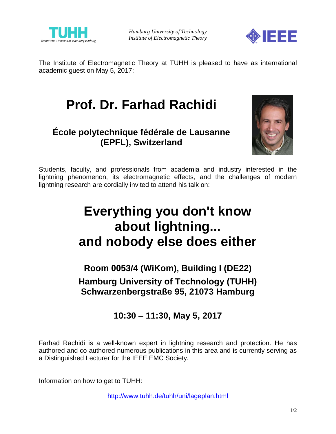



The Institute of Electromagnetic Theory at TUHH is pleased to have as international academic guest on May 5, 2017:

# **Prof. Dr. Farhad Rachidi**

## **École polytechnique fédérale de Lausanne (EPFL), Switzerland**



Students, faculty, and professionals from academia and industry interested in the lightning phenomenon, its electromagnetic effects, and the challenges of modern lightning research are cordially invited to attend his talk on:

# **Everything you don't know about lightning... and nobody else does either**

**Room 0053/4 (WiKom), Building I (DE22) Hamburg University of Technology (TUHH) Schwarzenbergstraße 95, 21073 Hamburg**

**10:30 – 11:30, May 5, 2017**

Farhad Rachidi is a well-known expert in lightning research and protection. He has authored and co-authored numerous publications in this area and is currently serving as a Distinguished Lecturer for the IEEE EMC Society.

Information on how to get to TUHH:

<http://www.tuhh.de/tuhh/uni/lageplan.html>